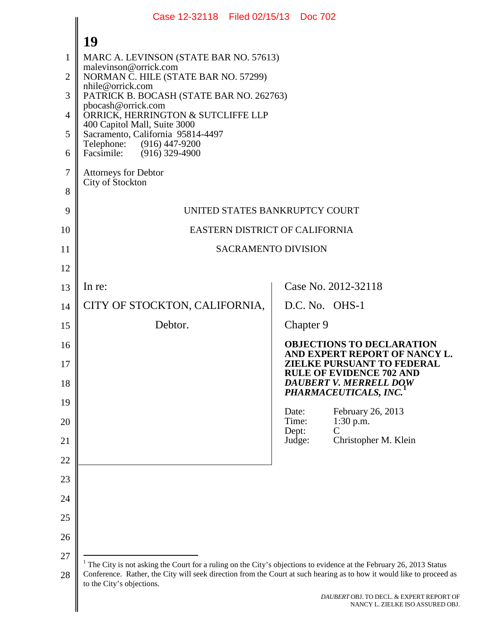<span id="page-0-0"></span>

|          | Case 12-32118 Filed 02/15/13 Doc 702                                                                                                                                                                                                                                     |                                                                                                |  |  |  |
|----------|--------------------------------------------------------------------------------------------------------------------------------------------------------------------------------------------------------------------------------------------------------------------------|------------------------------------------------------------------------------------------------|--|--|--|
|          | 19                                                                                                                                                                                                                                                                       |                                                                                                |  |  |  |
| 1        | MARC A. LEVINSON (STATE BAR NO. 57613)                                                                                                                                                                                                                                   |                                                                                                |  |  |  |
| 2        | malevinson@orrick.com<br>NORMAN C. HILE (STATE BAR NO. 57299)                                                                                                                                                                                                            |                                                                                                |  |  |  |
| 3        | nhile@orrick.com<br>PATRICK B. BOCASH (STATE BAR NO. 262763)                                                                                                                                                                                                             |                                                                                                |  |  |  |
| 4        | pbocash@orrick.com<br>ORRICK, HERRINGTON & SUTCLIFFE LLP                                                                                                                                                                                                                 |                                                                                                |  |  |  |
| 5        | 400 Capitol Mall, Suite 3000<br>Sacramento, California 95814-4497                                                                                                                                                                                                        |                                                                                                |  |  |  |
| 6        | Telephone:<br>(916) 447-9200<br>Facsimile: (916) 329-4900                                                                                                                                                                                                                |                                                                                                |  |  |  |
| 7        | <b>Attorneys for Debtor</b><br>City of Stockton                                                                                                                                                                                                                          |                                                                                                |  |  |  |
| 8        |                                                                                                                                                                                                                                                                          |                                                                                                |  |  |  |
| 9        | UNITED STATES BANKRUPTCY COURT                                                                                                                                                                                                                                           |                                                                                                |  |  |  |
| 10       | EASTERN DISTRICT OF CALIFORNIA                                                                                                                                                                                                                                           |                                                                                                |  |  |  |
| 11       | <b>SACRAMENTO DIVISION</b>                                                                                                                                                                                                                                               |                                                                                                |  |  |  |
| 12       |                                                                                                                                                                                                                                                                          |                                                                                                |  |  |  |
| 13       | In re:                                                                                                                                                                                                                                                                   | Case No. 2012-32118                                                                            |  |  |  |
| 14       | CITY OF STOCKTON, CALIFORNIA,                                                                                                                                                                                                                                            | D.C. No. OHS-1                                                                                 |  |  |  |
| 15       | Debtor.                                                                                                                                                                                                                                                                  | Chapter 9                                                                                      |  |  |  |
| 16       |                                                                                                                                                                                                                                                                          | <b>OBJECTIONS TO DECLARATION</b><br>AND EXPERT REPORT OF NANCY L.                              |  |  |  |
| 17<br>18 |                                                                                                                                                                                                                                                                          | <b>ZIELKE PURSUANT TO FEDERAL</b><br><b>RULE OF EVIDENCE 702 AND</b><br>DAUBERT V. MERRELL DOW |  |  |  |
| 19       |                                                                                                                                                                                                                                                                          | PHARMACEUTICALS, INC.                                                                          |  |  |  |
| 20       | Date:<br>Time:<br>Dept:                                                                                                                                                                                                                                                  | February 26, 2013<br>$1:30$ p.m.<br>$\overline{C}$                                             |  |  |  |
| 21       | Judge:                                                                                                                                                                                                                                                                   | Christopher M. Klein                                                                           |  |  |  |
| 22       |                                                                                                                                                                                                                                                                          |                                                                                                |  |  |  |
| 23       |                                                                                                                                                                                                                                                                          |                                                                                                |  |  |  |
| 24       |                                                                                                                                                                                                                                                                          |                                                                                                |  |  |  |
| 25       |                                                                                                                                                                                                                                                                          |                                                                                                |  |  |  |
| 26       |                                                                                                                                                                                                                                                                          |                                                                                                |  |  |  |
| 27       |                                                                                                                                                                                                                                                                          |                                                                                                |  |  |  |
| 28       | The City is not asking the Court for a ruling on the City's objections to evidence at the February 26, 2013 Status<br>Conference. Rather, the City will seek direction from the Court at such hearing as to how it would like to proceed as<br>to the City's objections. |                                                                                                |  |  |  |
|          | DAUBERT OBJ. TO DECL. & EXPERT REPORT OF<br>NANCY L. ZIELKE ISO ASSURED OBJ.                                                                                                                                                                                             |                                                                                                |  |  |  |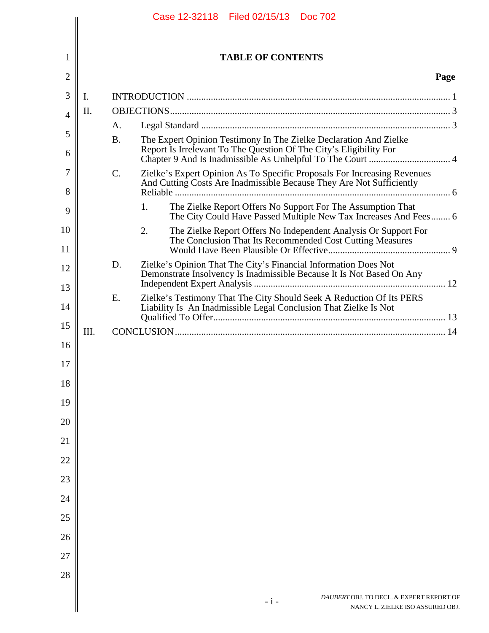|                |      |           | Case 12-32118 Filed 02/15/13 Doc 702                                                                                                             |      |
|----------------|------|-----------|--------------------------------------------------------------------------------------------------------------------------------------------------|------|
|                |      |           |                                                                                                                                                  |      |
| 1              |      |           | <b>TABLE OF CONTENTS</b>                                                                                                                         |      |
| $\overline{c}$ |      |           |                                                                                                                                                  | Page |
| 3              | I.   |           |                                                                                                                                                  |      |
| 4              | Π.   |           |                                                                                                                                                  |      |
| 5              |      | A.        |                                                                                                                                                  |      |
| 6              |      | <b>B.</b> | The Expert Opinion Testimony In The Zielke Declaration And Zielke<br>Report Is Irrelevant To The Question Of The City's Eligibility For          |      |
| 7<br>8         |      | C.        | Zielke's Expert Opinion As To Specific Proposals For Increasing Revenues<br>And Cutting Costs Are Inadmissible Because They Are Not Sufficiently |      |
| 9              |      |           | The Zielke Report Offers No Support For The Assumption That<br>1.<br>The City Could Have Passed Multiple New Tax Increases And Fees 6            |      |
| 10             |      |           | 2.<br>The Zielke Report Offers No Independent Analysis Or Support For<br>The Conclusion That Its Recommended Cost Cutting Measures               |      |
| 11             |      | D.        | Zielke's Opinion That The City's Financial Information Does Not                                                                                  |      |
| 12<br>13       |      |           | Demonstrate Insolvency Is Inadmissible Because It Is Not Based On Any                                                                            |      |
| 14             |      | E.        | Zielke's Testimony That The City Should Seek A Reduction Of Its PERS<br>Liability Is An Inadmissible Legal Conclusion That Zielke Is Not         |      |
| 15             | III. |           |                                                                                                                                                  |      |
| 16             |      |           |                                                                                                                                                  |      |
| 17<br>18       |      |           |                                                                                                                                                  |      |
| 19             |      |           |                                                                                                                                                  |      |
| 20             |      |           |                                                                                                                                                  |      |
| 21             |      |           |                                                                                                                                                  |      |
| 22             |      |           |                                                                                                                                                  |      |
| 23             |      |           |                                                                                                                                                  |      |
| 24             |      |           |                                                                                                                                                  |      |
| 25             |      |           |                                                                                                                                                  |      |
| 26             |      |           |                                                                                                                                                  |      |
| 27             |      |           |                                                                                                                                                  |      |
| 28             |      |           |                                                                                                                                                  |      |
|                |      |           | DAUBERT OBJ. TO DECL. & EXPERT REPORT OF<br>$-i-$<br>NANCY L. ZIELKE ISO ASSURED OBJ.                                                            |      |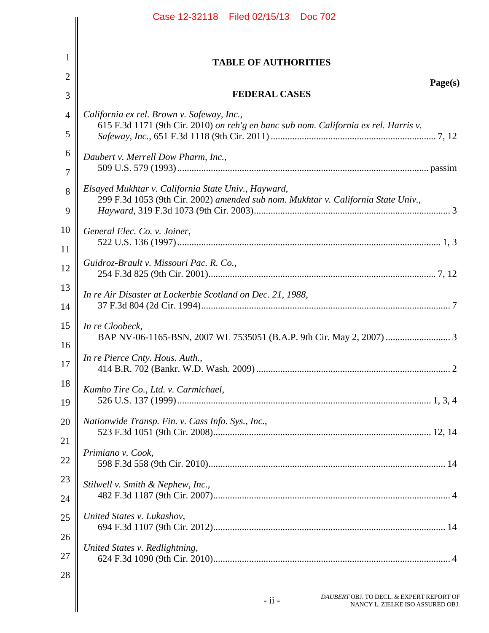|                | Case 12-32118 Filed 02/15/13 Doc 702                                                                                                     |
|----------------|------------------------------------------------------------------------------------------------------------------------------------------|
|                |                                                                                                                                          |
| 1              | <b>TABLE OF AUTHORITIES</b>                                                                                                              |
| $\overline{2}$ | Page(s)                                                                                                                                  |
| 3              | <b>FEDERAL CASES</b>                                                                                                                     |
| $\overline{4}$ | California ex rel. Brown v. Safeway, Inc.,<br>615 F.3d 1171 (9th Cir. 2010) on reh'g en banc sub nom. California ex rel. Harris v.       |
| 5              |                                                                                                                                          |
| 6              | Daubert v. Merrell Dow Pharm, Inc.,                                                                                                      |
| 7              |                                                                                                                                          |
| 8              | Elsayed Mukhtar v. California State Univ., Hayward,<br>299 F.3d 1053 (9th Cir. 2002) amended sub nom. Mukhtar v. California State Univ., |
| 9              |                                                                                                                                          |
| 10             | General Elec. Co. v. Joiner,                                                                                                             |
| 11             |                                                                                                                                          |
| 12             | Guidroz-Brault v. Missouri Pac. R. Co.,                                                                                                  |
| 13             | In re Air Disaster at Lockerbie Scotland on Dec. 21, 1988,                                                                               |
| 14             |                                                                                                                                          |
| 15             | In re Cloobeck,                                                                                                                          |
| 16<br>17       | In re Pierce Cnty. Hous. Auth.,                                                                                                          |
| 18<br>19       | Kumho Tire Co., Ltd. v. Carmichael,                                                                                                      |
| 20             | Nationwide Transp. Fin. v. Cass Info. Sys., Inc.,                                                                                        |
| 21             |                                                                                                                                          |
| 22             | Primiano v. Cook,                                                                                                                        |
| 23             | Stilwell v. Smith & Nephew, Inc.,                                                                                                        |
| 24             |                                                                                                                                          |
| 25             | United States v. Lukashov,                                                                                                               |
| 26             | United States v. Redlightning,                                                                                                           |
| 27             |                                                                                                                                          |
| 28             |                                                                                                                                          |
|                | DAUBERT OBJ. TO DECL. & EXPERT REPORT OF<br>$-ii -$<br>NANCY L. ZIELKE ISO ASSURED OBJ.                                                  |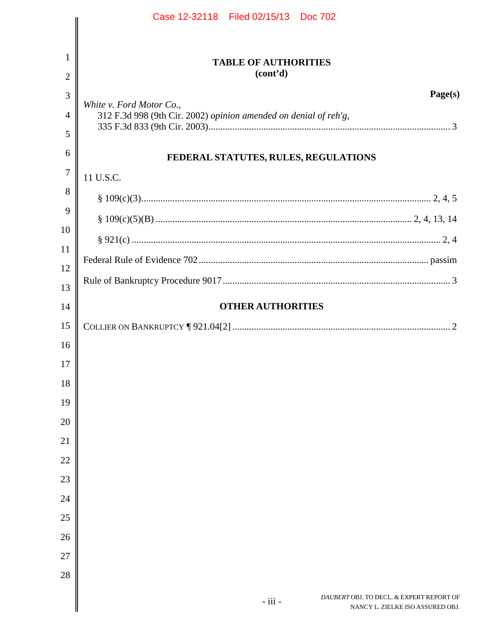|                | Case 12-32118 Filed 02/15/13 Doc 702                                                    |
|----------------|-----------------------------------------------------------------------------------------|
|                |                                                                                         |
| 1              | <b>TABLE OF AUTHORITIES</b>                                                             |
| $\overline{2}$ | (cont'd)                                                                                |
| 3              | Page(s)<br>White v. Ford Motor Co.,                                                     |
| $\overline{4}$ | 312 F.3d 998 (9th Cir. 2002) opinion amended on denial of reh'g,                        |
| 5              |                                                                                         |
| 6              | FEDERAL STATUTES, RULES, REGULATIONS                                                    |
| 7              | 11 U.S.C.                                                                               |
| 8              |                                                                                         |
| 9              |                                                                                         |
| 10             |                                                                                         |
| 11             |                                                                                         |
| 12             |                                                                                         |
| 13             |                                                                                         |
| 14             | <b>OTHER AUTHORITIES</b>                                                                |
| 15             |                                                                                         |
| 16             |                                                                                         |
| 17             |                                                                                         |
| 18             |                                                                                         |
| 19             |                                                                                         |
| 20             |                                                                                         |
| 21             |                                                                                         |
| 22             |                                                                                         |
| 23             |                                                                                         |
| 24             |                                                                                         |
| 25             |                                                                                         |
| 26             |                                                                                         |
| 27             |                                                                                         |
| 28             |                                                                                         |
|                | DAUBERT OBJ. TO DECL. & EXPERT REPORT OF<br>- iii -<br>NANCY L. ZIELKE ISO ASSURED OBJ. |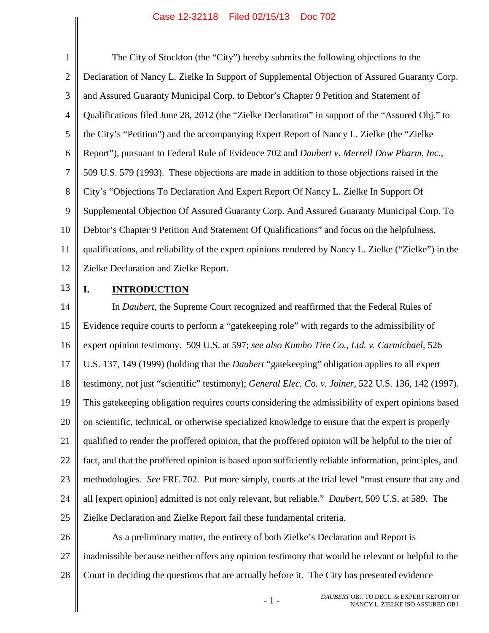<span id="page-4-3"></span><span id="page-4-0"></span>1 2 3 4 5 6 7 8 9 10 11 12 The City of Stockton (the "City") hereby submits the following objections to the Declaration of Nancy L. Zielke In Support of Supplemental Objection of Assured Guaranty Corp. and Assured Guaranty Municipal Corp. to Debtor's Chapter 9 Petition and Statement of Qualifications filed June 28, 2012 (the "Zielke Declaration" in support of the "Assured Obj." to the City's "Petition") and the accompanying Expert Report of Nancy L. Zielke (the "Zielke Report"), pursuant to Federal Rule of Evidence 702 and *Daubert v. Merrell Dow Pharm, Inc.*, 509 U.S. 579 (1993). These objections are made in addition to those objections raised in the City's "Objections To Declaration And Expert Report Of Nancy L. Zielke In Support Of Supplemental Objection Of Assured Guaranty Corp. And Assured Guaranty Municipal Corp. To Debtor's Chapter 9 Petition And Statement Of Qualifications" and focus on the helpfulness, qualifications, and reliability of the expert opinions rendered by Nancy L. Zielke ("Zielke") in the Zielke Declaration and Zielke Report.

13

# <span id="page-4-2"></span><span id="page-4-1"></span>**I. INTRODUCTION**

14 15 16 17 18 19 20 21 22 23 24 25 In *Daubert*, the Supreme Court recognized and reaffirmed that the Federal Rules of Evidence require courts to perform a "gatekeeping role" with regards to the admissibility of expert opinion testimony. 509 U.S. at 597; *see also Kumho Tire Co., Ltd. v. Carmichael*, 526 U.S. 137, 149 (1999) (holding that the *Daubert* "gatekeeping" obligation applies to all expert testimony, not just "scientific" testimony); *General Elec. Co. v. Joiner*, 522 U.S. 136, 142 (1997). This gatekeeping obligation requires courts considering the admissibility of expert opinions based on scientific, technical, or otherwise specialized knowledge to ensure that the expert is properly qualified to render the proffered opinion, that the proffered opinion will be helpful to the trier of fact, and that the proffered opinion is based upon sufficiently reliable information, principles, and methodologies. *See* FRE 702. Put more simply, courts at the trial level "must ensure that any and all [expert opinion] admitted is not only relevant, but reliable." *Daubert*, 509 U.S. at 589. The Zielke Declaration and Zielke Report fail these fundamental criteria.

26 27 28 As a preliminary matter, the entirety of both Zielke's Declaration and Report is inadmissible because neither offers any opinion testimony that would be relevant or helpful to the Court in deciding the questions that are actually before it. The City has presented evidence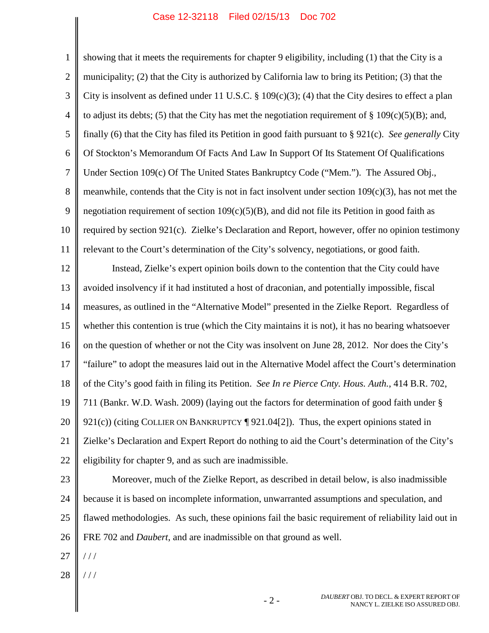<span id="page-5-4"></span><span id="page-5-3"></span><span id="page-5-2"></span><span id="page-5-1"></span><span id="page-5-0"></span>1 2 3 4 5 6 7 8 9 10 11 12 13 14 15 16 17 18 19 20 21 22 23 24 25 26 27 28 showing that it meets the requirements for chapter 9 eligibility, including (1) that the City is a municipality; (2) that the City is authorized by California law to bring its Petition; (3) that the City is insolvent as defined under 11 U.S.C.  $\S$  109(c)(3); (4) that the City desires to effect a plan to adjust its debts; (5) that the City has met the negotiation requirement of  $\S$  109(c)(5)(B); and, finally (6) that the City has filed its Petition in good faith pursuant to § 921(c). *See generally* City Of Stockton's Memorandum Of Facts And Law In Support Of Its Statement Of Qualifications Under Section 109(c) Of The United States Bankruptcy Code ("Mem."). The Assured Obj., meanwhile, contends that the City is not in fact insolvent under section  $109(c)(3)$ , has not met the negotiation requirement of section  $109(c)(5)(B)$ , and did not file its Petition in good faith as required by section 921(c). Zielke's Declaration and Report, however, offer no opinion testimony relevant to the Court's determination of the City's solvency, negotiations, or good faith. Instead, Zielke's expert opinion boils down to the contention that the City could have avoided insolvency if it had instituted a host of draconian, and potentially impossible, fiscal measures, as outlined in the "Alternative Model" presented in the Zielke Report. Regardless of whether this contention is true (which the City maintains it is not), it has no bearing whatsoever on the question of whether or not the City was insolvent on June 28, 2012. Nor does the City's "failure" to adopt the measures laid out in the Alternative Model affect the Court's determination of the City's good faith in filing its Petition. *See In re Pierce Cnty. Hous. Auth.*, 414 B.R. 702, 711 (Bankr. W.D. Wash. 2009) (laying out the factors for determination of good faith under § 921(c)) (citing COLLIER ON BANKRUPTCY [921.04[2]). Thus, the expert opinions stated in Zielke's Declaration and Expert Report do nothing to aid the Court's determination of the City's eligibility for chapter 9, and as such are inadmissible. Moreover, much of the Zielke Report, as described in detail below, is also inadmissible because it is based on incomplete information, unwarranted assumptions and speculation, and flawed methodologies. As such, these opinions fail the basic requirement of reliability laid out in FRE 702 and *Daubert*, and are inadmissible on that ground as well. / / / / / /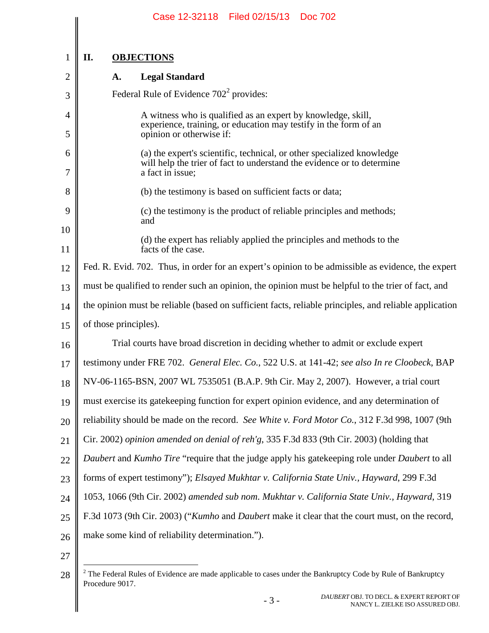|                | Case 12-32118 Filed 02/15/13<br><b>Doc 702</b>                                                                                                                       |  |  |  |  |  |
|----------------|----------------------------------------------------------------------------------------------------------------------------------------------------------------------|--|--|--|--|--|
|                |                                                                                                                                                                      |  |  |  |  |  |
| 1              | II.<br><b>OBJECTIONS</b>                                                                                                                                             |  |  |  |  |  |
| $\overline{2}$ | <b>Legal Standard</b><br>A.                                                                                                                                          |  |  |  |  |  |
| 3              | Federal Rule of Evidence $702^2$ provides:                                                                                                                           |  |  |  |  |  |
| 4              | A witness who is qualified as an expert by knowledge, skill,                                                                                                         |  |  |  |  |  |
| 5              | experience, training, or education may testify in the form of an<br>opinion or otherwise if:                                                                         |  |  |  |  |  |
| 6<br>7         | (a) the expert's scientific, technical, or other specialized knowledge<br>will help the trier of fact to understand the evidence or to determine<br>a fact in issue; |  |  |  |  |  |
| 8              | (b) the testimony is based on sufficient facts or data;                                                                                                              |  |  |  |  |  |
| 9              | (c) the testimony is the product of reliable principles and methods;                                                                                                 |  |  |  |  |  |
| 10             | and                                                                                                                                                                  |  |  |  |  |  |
| 11             | (d) the expert has reliably applied the principles and methods to the<br>facts of the case.                                                                          |  |  |  |  |  |
| 12             | Fed. R. Evid. 702. Thus, in order for an expert's opinion to be admissible as evidence, the expert                                                                   |  |  |  |  |  |
| 13             | must be qualified to render such an opinion, the opinion must be helpful to the trier of fact, and                                                                   |  |  |  |  |  |
| 14             | the opinion must be reliable (based on sufficient facts, reliable principles, and reliable application                                                               |  |  |  |  |  |
| 15             | of those principles).                                                                                                                                                |  |  |  |  |  |
| 16             | Trial courts have broad discretion in deciding whether to admit or exclude expert                                                                                    |  |  |  |  |  |
| 17             | testimony under FRE 702. General Elec. Co., 522 U.S. at 141-42; see also In re Cloobeck, BAP                                                                         |  |  |  |  |  |
| 18             | NV-06-1165-BSN, 2007 WL 7535051 (B.A.P. 9th Cir. May 2, 2007). However, a trial court                                                                                |  |  |  |  |  |
| 19             | must exercise its gate keeping function for expert opinion evidence, and any determination of                                                                        |  |  |  |  |  |
| 20             | reliability should be made on the record. See White v. Ford Motor Co., 312 F.3d 998, 1007 (9th                                                                       |  |  |  |  |  |
| 21             | Cir. 2002) opinion amended on denial of reh'g, 335 F.3d 833 (9th Cir. 2003) (holding that                                                                            |  |  |  |  |  |
| 22             | Daubert and Kumho Tire "require that the judge apply his gatekeeping role under Daubert to all                                                                       |  |  |  |  |  |
| 23             | forms of expert testimony"); Elsayed Mukhtar v. California State Univ., Hayward, 299 F.3d                                                                            |  |  |  |  |  |
| 24             | 1053, 1066 (9th Cir. 2002) amended sub nom. Mukhtar v. California State Univ., Hayward, 319                                                                          |  |  |  |  |  |
| 25             | F.3d 1073 (9th Cir. 2003) ("Kumho and Daubert make it clear that the court must, on the record,                                                                      |  |  |  |  |  |
| 26             | make some kind of reliability determination.").                                                                                                                      |  |  |  |  |  |
| 27             |                                                                                                                                                                      |  |  |  |  |  |

<span id="page-6-6"></span><span id="page-6-5"></span><span id="page-6-4"></span><span id="page-6-3"></span><span id="page-6-2"></span><span id="page-6-1"></span><span id="page-6-0"></span><sup>28</sup>  $\parallel$  <sup>2</sup> The Federal Rules of Evidence are made applicable to cases under the Bankruptcy Code by Rule of Bankruptcy Procedure 9017.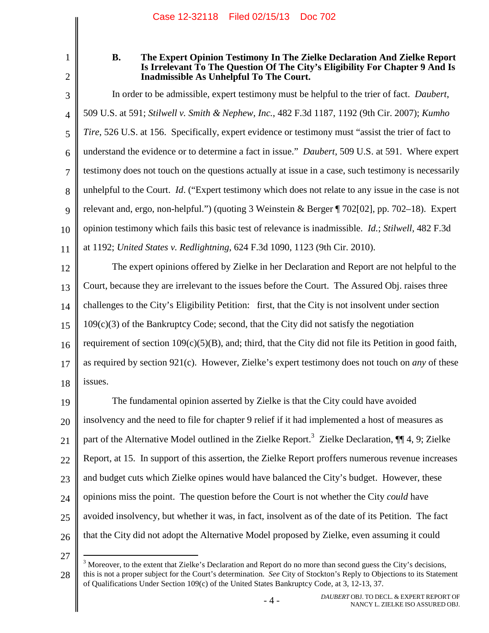1

## <span id="page-7-1"></span><span id="page-7-0"></span>**B. The Expert Opinion Testimony In The Zielke Declaration And Zielke Report Is Irrelevant To The Question Of The City's Eligibility For Chapter 9 And Is Inadmissible As Unhelpful To The Court.**

3 4 5 6 7 8 9 10 11 In order to be admissible, expert testimony must be helpful to the trier of fact. *Daubert*, 509 U.S. at 591; *Stilwell v. Smith & Nephew, Inc.*, 482 F.3d 1187, 1192 (9th Cir. 2007); *Kumho Tire*, 526 U.S. at 156. Specifically, expert evidence or testimony must "assist the trier of fact to understand the evidence or to determine a fact in issue." *Daubert*, 509 U.S. at 591. Where expert testimony does not touch on the questions actually at issue in a case, such testimony is necessarily unhelpful to the Court. *Id*. ("Expert testimony which does not relate to any issue in the case is not relevant and, ergo, non-helpful.") (quoting 3 Weinstein & Berger ¶ 702[02], pp. 702–18). Expert opinion testimony which fails this basic test of relevance is inadmissible. *Id.*; *Stilwell*, 482 F.3d at 1192; *United States v. Redlightning*, 624 F.3d 1090, 1123 (9th Cir. 2010).

<span id="page-7-4"></span><span id="page-7-3"></span><span id="page-7-2"></span>12 13 14 15 16 17 18 The expert opinions offered by Zielke in her Declaration and Report are not helpful to the Court, because they are irrelevant to the issues before the Court. The Assured Obj. raises three challenges to the City's Eligibility Petition: first, that the City is not insolvent under section  $109(c)(3)$  of the Bankruptcy Code; second, that the City did not satisfy the negotiation requirement of section  $109(c)(5)(B)$ , and; third, that the City did not file its Petition in good faith, as required by section 921(c). However, Zielke's expert testimony does not touch on *any* of these issues.

<span id="page-7-5"></span>19 20 21 22 23 24 25 26 The fundamental opinion asserted by Zielke is that the City could have avoided insolvency and the need to file for chapter 9 relief if it had implemented a host of measures as part of the Alternative Model outlined in the Zielke Report.<sup>[3](#page-7-6)</sup> Zielke Declaration, ¶¶ 4, 9; Zielke Report, at 15. In support of this assertion, the Zielke Report proffers numerous revenue increases and budget cuts which Zielke opines would have balanced the City's budget. However, these opinions miss the point. The question before the Court is not whether the City *could* have avoided insolvency, but whether it was, in fact, insolvent as of the date of its Petition. The fact that the City did not adopt the Alternative Model proposed by Zielke, even assuming it could

<sup>27</sup>

<span id="page-7-6"></span><sup>28</sup>  $3$  Moreover, to the extent that Zielke's Declaration and Report do no more than second guess the City's decisions, this is not a proper subject for the Court's determination. *See* City of Stockton's Reply to Objections to its Statement of Qualifications Under Section 109(c) of the United States Bankruptcy Code, at 3, 12-13, 37.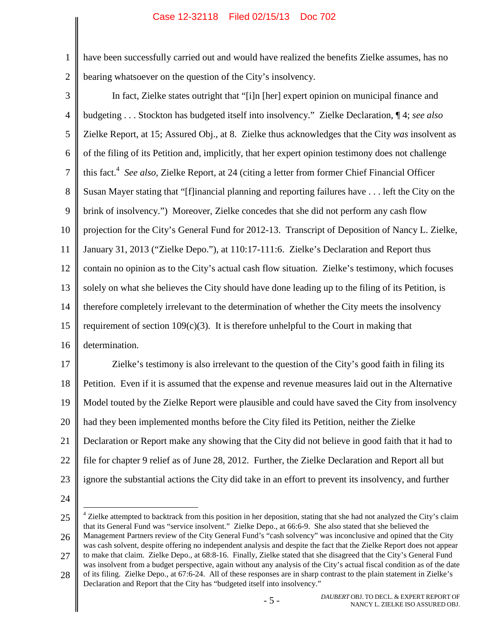1 2 have been successfully carried out and would have realized the benefits Zielke assumes, has no bearing whatsoever on the question of the City's insolvency.

3 4 5 6 7 8 9 10 11 12 13 14 15 16 In fact, Zielke states outright that "[i]n [her] expert opinion on municipal finance and budgeting . . . Stockton has budgeted itself into insolvency." Zielke Declaration, ¶ 4; *see also* Zielke Report, at 15; Assured Obj., at 8. Zielke thus acknowledges that the City *was* insolvent as of the filing of its Petition and, implicitly, that her expert opinion testimony does not challenge this fact.<sup>[4](#page-8-1)</sup> See also, Zielke Report, at 24 (citing a letter from former Chief Financial Officer Susan Mayer stating that "[f]inancial planning and reporting failures have . . . left the City on the brink of insolvency.") Moreover, Zielke concedes that she did not perform any cash flow projection for the City's General Fund for 2012-13. Transcript of Deposition of Nancy L. Zielke, January 31, 2013 ("Zielke Depo."), at 110:17-111:6. Zielke's Declaration and Report thus contain no opinion as to the City's actual cash flow situation. Zielke's testimony, which focuses solely on what she believes the City should have done leading up to the filing of its Petition, is therefore completely irrelevant to the determination of whether the City meets the insolvency requirement of section  $109(c)(3)$ . It is therefore unhelpful to the Court in making that determination.

<span id="page-8-0"></span>17 18 19 20 21 22 23 Zielke's testimony is also irrelevant to the question of the City's good faith in filing its Petition. Even if it is assumed that the expense and revenue measures laid out in the Alternative Model touted by the Zielke Report were plausible and could have saved the City from insolvency had they been implemented months before the City filed its Petition, neither the Zielke Declaration or Report make any showing that the City did not believe in good faith that it had to file for chapter 9 relief as of June 28, 2012. Further, the Zielke Declaration and Report all but ignore the substantial actions the City did take in an effort to prevent its insolvency, and further

24

<span id="page-8-1"></span><sup>25</sup> 26  $4$  Zielke attempted to backtrack from this position in her deposition, stating that she had not analyzed the City's claim that its General Fund was "service insolvent." Zielke Depo., at 66:6-9. She also stated that she believed the Management Partners review of the City General Fund's "cash solvency" was inconclusive and opined that the City

<sup>27</sup> was cash solvent, despite offering no independent analysis and despite the fact that the Zielke Report does not appear to make that claim. Zielke Depo., at 68:8-16. Finally, Zielke stated that she disagreed that the City's General Fund was insolvent from a budget perspective, again without any analysis of the City's actual fiscal condition as of the date

<sup>28</sup> of its filing. Zielke Depo., at 67:6-24. All of these responses are in sharp contrast to the plain statement in Zielke's Declaration and Report that the City has "budgeted itself into insolvency."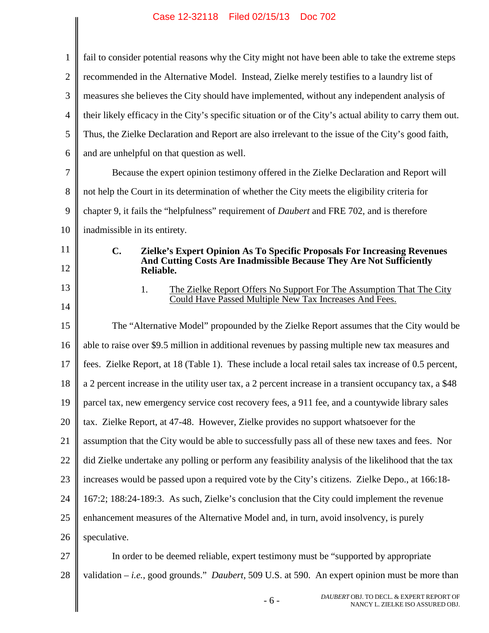|                | Case 12-32110 Filed 02/13/13 DOC 702                                                                      |  |  |  |
|----------------|-----------------------------------------------------------------------------------------------------------|--|--|--|
| $\mathbf{1}$   | fail to consider potential reasons why the City might not have been able to take the extreme steps        |  |  |  |
| $\overline{2}$ | recommended in the Alternative Model. Instead, Zielke merely testifies to a laundry list of               |  |  |  |
| 3              | measures she believes the City should have implemented, without any independent analysis of               |  |  |  |
| $\overline{4}$ | their likely efficacy in the City's specific situation or of the City's actual ability to carry them out. |  |  |  |
| 5              | Thus, the Zielke Declaration and Report are also irrelevant to the issue of the City's good faith,        |  |  |  |
| 6              | and are unhelpful on that question as well.                                                               |  |  |  |
| 7              | Because the expert opinion testimony offered in the Zielke Declaration and Report will                    |  |  |  |
| 8              | not help the Court in its determination of whether the City meets the eligibility criteria for            |  |  |  |
| 9              | chapter 9, it fails the "helpfulness" requirement of <i>Daubert</i> and FRE 702, and is therefore         |  |  |  |
| 10             | inadmissible in its entirety.                                                                             |  |  |  |
| 11             | $C_{\bullet}$<br><b>Zielke's Expert Opinion As To Specific Proposals For Increasing Revenues</b>          |  |  |  |
| 12             | And Cutting Costs Are Inadmissible Because They Are Not Sufficiently<br>Reliable.                         |  |  |  |
| 13             | 1.<br>The Zielke Report Offers No Support For The Assumption That The City                                |  |  |  |
| 14             | Could Have Passed Multiple New Tax Increases And Fees.                                                    |  |  |  |
| 15             | The "Alternative Model" propounded by the Zielke Report assumes that the City would be                    |  |  |  |
| 16             | able to raise over \$9.5 million in additional revenues by passing multiple new tax measures and          |  |  |  |
| 17             | fees. Zielke Report, at 18 (Table 1). These include a local retail sales tax increase of 0.5 percent,     |  |  |  |
| 18             | a 2 percent increase in the utility user tax, a 2 percent increase in a transient occupancy tax, a \$48   |  |  |  |
| 19             | parcel tax, new emergency service cost recovery fees, a 911 fee, and a countywide library sales           |  |  |  |
| 20             | tax. Zielke Report, at 47-48. However, Zielke provides no support whatsoever for the                      |  |  |  |
| 21             | assumption that the City would be able to successfully pass all of these new taxes and fees. Nor          |  |  |  |
| 22             | did Zielke undertake any polling or perform any feasibility analysis of the likelihood that the tax       |  |  |  |
| 23             | increases would be passed upon a required vote by the City's citizens. Zielke Depo., at 166:18-           |  |  |  |
| 24             | 167:2; 188:24-189:3. As such, Zielke's conclusion that the City could implement the revenue               |  |  |  |
| 25             | enhancement measures of the Alternative Model and, in turn, avoid insolvency, is purely                   |  |  |  |
| 26             | speculative.                                                                                              |  |  |  |
| 27             | In order to be deemed reliable, expert testimony must be "supported by appropriate"                       |  |  |  |
| 28             | validation $-i.e.,$ good grounds." <i>Daubert</i> , 509 U.S. at 590. An expert opinion must be more than  |  |  |  |
|                | DAUBERT OBJ. TO DECL. & EXPERT REPORT OF<br>$-6-$<br>NANCY L. ZIELKE ISO ASSURED OBJ.                     |  |  |  |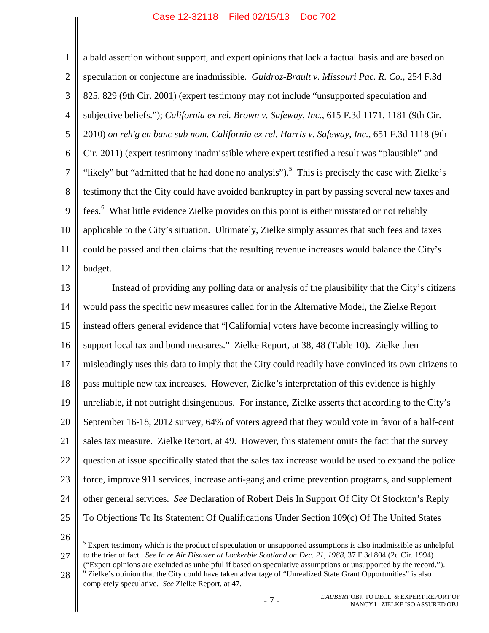<span id="page-10-1"></span><span id="page-10-0"></span>1 2 3 4 5 6 7 8 9 10 11 12 a bald assertion without support, and expert opinions that lack a factual basis and are based on speculation or conjecture are inadmissible. *Guidroz-Brault v. Missouri Pac. R. Co.*, 254 F.3d 825, 829 (9th Cir. 2001) (expert testimony may not include "unsupported speculation and subjective beliefs."); *California ex rel. Brown v. Safeway, Inc.*, 615 F.3d 1171, 1181 (9th Cir. 2010) *on reh'g en banc sub nom. California ex rel. Harris v. Safeway, Inc.*, 651 F.3d 1118 (9th Cir. 2011) (expert testimony inadmissible where expert testified a result was "plausible" and "likely" but "admitted that he had done no analysis").<sup>[5](#page-10-3)</sup> This is precisely the case with Zielke's testimony that the City could have avoided bankruptcy in part by passing several new taxes and fees.<sup>[6](#page-10-4)</sup> What little evidence Zielke provides on this point is either misstated or not reliably applicable to the City's situation. Ultimately, Zielke simply assumes that such fees and taxes could be passed and then claims that the resulting revenue increases would balance the City's budget.

13 14 15 16 17 18 19 20 21 22 23 24 25 Instead of providing any polling data or analysis of the plausibility that the City's citizens would pass the specific new measures called for in the Alternative Model, the Zielke Report instead offers general evidence that "[California] voters have become increasingly willing to support local tax and bond measures." Zielke Report, at 38, 48 (Table 10). Zielke then misleadingly uses this data to imply that the City could readily have convinced its own citizens to pass multiple new tax increases. However, Zielke's interpretation of this evidence is highly unreliable, if not outright disingenuous. For instance, Zielke asserts that according to the City's September 16-18, 2012 survey, 64% of voters agreed that they would vote in favor of a half-cent sales tax measure. Zielke Report, at 49. However, this statement omits the fact that the survey question at issue specifically stated that the sales tax increase would be used to expand the police force, improve 911 services, increase anti-gang and crime prevention programs, and supplement other general services. *See* Declaration of Robert Deis In Support Of City Of Stockton's Reply To Objections To Its Statement Of Qualifications Under Section 109(c) Of The United States

26

27

<span id="page-10-3"></span><span id="page-10-2"></span><sup>5</sup> Expert testimony which is the product of speculation or unsupported assumptions is also inadmissible as unhelpful to the trier of fact. *See In re Air Disaster at Lockerbie Scotland on Dec. 21, 1988*, 37 F.3d 804 (2d Cir. 1994) ("Expert opinions are excluded as unhelpful if based on speculative assumptions or unsupported by the record.").

<span id="page-10-4"></span>28 <sup>6</sup> Zielke's opinion that the City could have taken advantage of "Unrealized State Grant Opportunities" is also completely speculative. *See* Zielke Report, at 47.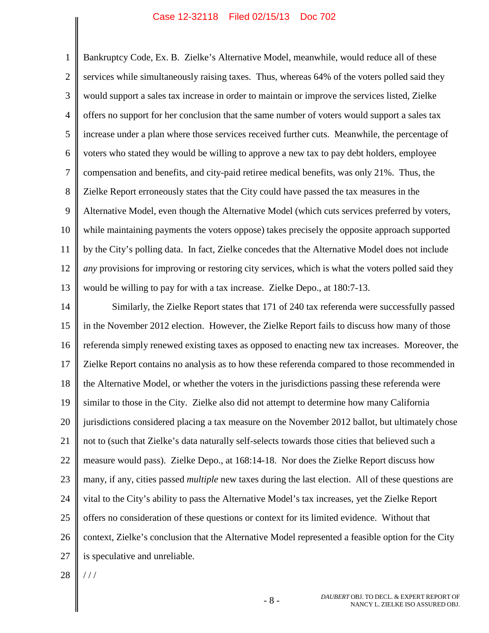1 2 3 4 5 6 7 8 9 10 11 12 13 Bankruptcy Code, Ex. B. Zielke's Alternative Model, meanwhile, would reduce all of these services while simultaneously raising taxes. Thus, whereas 64% of the voters polled said they would support a sales tax increase in order to maintain or improve the services listed, Zielke offers no support for her conclusion that the same number of voters would support a sales tax increase under a plan where those services received further cuts. Meanwhile, the percentage of voters who stated they would be willing to approve a new tax to pay debt holders, employee compensation and benefits, and city-paid retiree medical benefits, was only 21%. Thus, the Zielke Report erroneously states that the City could have passed the tax measures in the Alternative Model, even though the Alternative Model (which cuts services preferred by voters, while maintaining payments the voters oppose) takes precisely the opposite approach supported by the City's polling data. In fact, Zielke concedes that the Alternative Model does not include *any* provisions for improving or restoring city services, which is what the voters polled said they would be willing to pay for with a tax increase. Zielke Depo., at 180:7-13.

14 15 16 17 18 19 20 21 22 23 24 25 26 27 Similarly, the Zielke Report states that 171 of 240 tax referenda were successfully passed in the November 2012 election. However, the Zielke Report fails to discuss how many of those referenda simply renewed existing taxes as opposed to enacting new tax increases. Moreover, the Zielke Report contains no analysis as to how these referenda compared to those recommended in the Alternative Model, or whether the voters in the jurisdictions passing these referenda were similar to those in the City. Zielke also did not attempt to determine how many California jurisdictions considered placing a tax measure on the November 2012 ballot, but ultimately chose not to (such that Zielke's data naturally self-selects towards those cities that believed such a measure would pass). Zielke Depo., at 168:14-18. Nor does the Zielke Report discuss how many, if any, cities passed *multiple* new taxes during the last election. All of these questions are vital to the City's ability to pass the Alternative Model's tax increases, yet the Zielke Report offers no consideration of these questions or context for its limited evidence. Without that context, Zielke's conclusion that the Alternative Model represented a feasible option for the City is speculative and unreliable.

28  $//$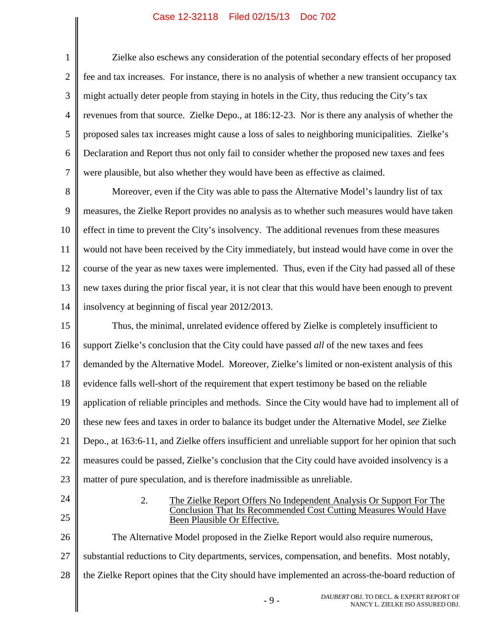1 2 3 4 5 6 7 Zielke also eschews any consideration of the potential secondary effects of her proposed fee and tax increases. For instance, there is no analysis of whether a new transient occupancy tax might actually deter people from staying in hotels in the City, thus reducing the City's tax revenues from that source. Zielke Depo., at 186:12-23. Nor is there any analysis of whether the proposed sales tax increases might cause a loss of sales to neighboring municipalities. Zielke's Declaration and Report thus not only fail to consider whether the proposed new taxes and fees were plausible, but also whether they would have been as effective as claimed.

8 9 10 11 12 13 14 Moreover, even if the City was able to pass the Alternative Model's laundry list of tax measures, the Zielke Report provides no analysis as to whether such measures would have taken effect in time to prevent the City's insolvency. The additional revenues from these measures would not have been received by the City immediately, but instead would have come in over the course of the year as new taxes were implemented. Thus, even if the City had passed all of these new taxes during the prior fiscal year, it is not clear that this would have been enough to prevent insolvency at beginning of fiscal year 2012/2013.

15 16 17 18 19 20 21 22 23 Thus, the minimal, unrelated evidence offered by Zielke is completely insufficient to support Zielke's conclusion that the City could have passed *all* of the new taxes and fees demanded by the Alternative Model. Moreover, Zielke's limited or non-existent analysis of this evidence falls well-short of the requirement that expert testimony be based on the reliable application of reliable principles and methods. Since the City would have had to implement all of these new fees and taxes in order to balance its budget under the Alternative Model, *see* Zielke Depo., at 163:6-11, and Zielke offers insufficient and unreliable support for her opinion that such measures could be passed, Zielke's conclusion that the City could have avoided insolvency is a matter of pure speculation, and is therefore inadmissible as unreliable.

24

25

#### 2. The Zielke Report Offers No Independent Analysis Or Support For The Conclusion That Its Recommended Cost Cutting Measures Would Have Been Plausible Or Effective.

26 27 28 The Alternative Model proposed in the Zielke Report would also require numerous, substantial reductions to City departments, services, compensation, and benefits. Most notably, the Zielke Report opines that the City should have implemented an across-the-board reduction of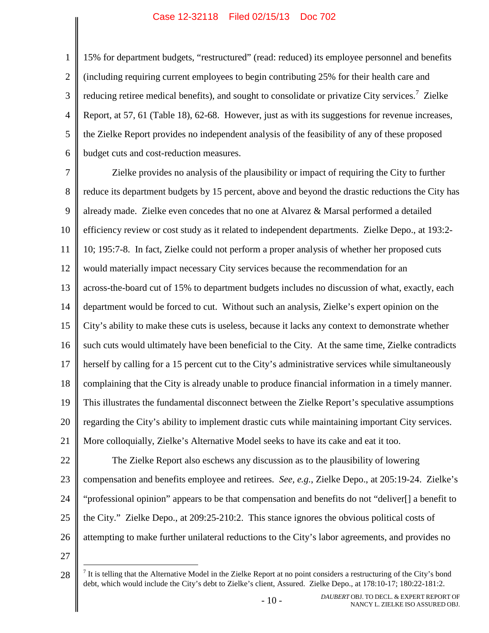1 2 3 4 5 6 15% for department budgets, "restructured" (read: reduced) its employee personnel and benefits (including requiring current employees to begin contributing 25% for their health care and reducing retiree medical benefits), and sought to consolidate or privatize City services.<sup>[7](#page-13-0)</sup> Zielke Report, at 57, 61 (Table 18), 62-68. However, just as with its suggestions for revenue increases, the Zielke Report provides no independent analysis of the feasibility of any of these proposed budget cuts and cost-reduction measures.

7 8 9 10 11 12 13 14 15 16 17 18 19 20 21 22 23 24 25 26 27 Zielke provides no analysis of the plausibility or impact of requiring the City to further reduce its department budgets by 15 percent, above and beyond the drastic reductions the City has already made. Zielke even concedes that no one at Alvarez & Marsal performed a detailed efficiency review or cost study as it related to independent departments. Zielke Depo., at 193:2- 10; 195:7-8. In fact, Zielke could not perform a proper analysis of whether her proposed cuts would materially impact necessary City services because the recommendation for an across-the-board cut of 15% to department budgets includes no discussion of what, exactly, each department would be forced to cut. Without such an analysis, Zielke's expert opinion on the City's ability to make these cuts is useless, because it lacks any context to demonstrate whether such cuts would ultimately have been beneficial to the City. At the same time, Zielke contradicts herself by calling for a 15 percent cut to the City's administrative services while simultaneously complaining that the City is already unable to produce financial information in a timely manner. This illustrates the fundamental disconnect between the Zielke Report's speculative assumptions regarding the City's ability to implement drastic cuts while maintaining important City services. More colloquially, Zielke's Alternative Model seeks to have its cake and eat it too. The Zielke Report also eschews any discussion as to the plausibility of lowering compensation and benefits employee and retirees. *See, e.g.*, Zielke Depo., at 205:19-24. Zielke's "professional opinion" appears to be that compensation and benefits do not "deliver[] a benefit to the City." Zielke Depo., at 209:25-210:2. This stance ignores the obvious political costs of attempting to make further unilateral reductions to the City's labor agreements, and provides no

<span id="page-13-0"></span><sup>28</sup>  $<sup>7</sup>$  It is telling that the Alternative Model in the Zielke Report at no point considers a restructuring of the City's bond</sup> debt, which would include the City's debt to Zielke's client, Assured. Zielke Depo., at 178:10-17; 180:22-181:2.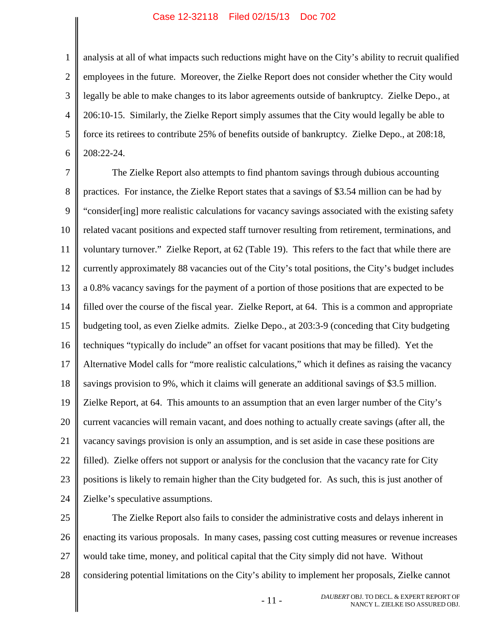1 2 3 4 5 6 analysis at all of what impacts such reductions might have on the City's ability to recruit qualified employees in the future. Moreover, the Zielke Report does not consider whether the City would legally be able to make changes to its labor agreements outside of bankruptcy. Zielke Depo., at 206:10-15. Similarly, the Zielke Report simply assumes that the City would legally be able to force its retirees to contribute 25% of benefits outside of bankruptcy. Zielke Depo., at 208:18, 208:22-24.

7 8 9 10 11 12 13 14 15 16 17 18 19 20 21 22 23 24 The Zielke Report also attempts to find phantom savings through dubious accounting practices. For instance, the Zielke Report states that a savings of \$3.54 million can be had by "consider[ing] more realistic calculations for vacancy savings associated with the existing safety related vacant positions and expected staff turnover resulting from retirement, terminations, and voluntary turnover." Zielke Report, at 62 (Table 19). This refers to the fact that while there are currently approximately 88 vacancies out of the City's total positions, the City's budget includes a 0.8% vacancy savings for the payment of a portion of those positions that are expected to be filled over the course of the fiscal year. Zielke Report, at 64. This is a common and appropriate budgeting tool, as even Zielke admits. Zielke Depo., at 203:3-9 (conceding that City budgeting techniques "typically do include" an offset for vacant positions that may be filled). Yet the Alternative Model calls for "more realistic calculations," which it defines as raising the vacancy savings provision to 9%, which it claims will generate an additional savings of \$3.5 million. Zielke Report, at 64. This amounts to an assumption that an even larger number of the City's current vacancies will remain vacant, and does nothing to actually create savings (after all, the vacancy savings provision is only an assumption, and is set aside in case these positions are filled). Zielke offers not support or analysis for the conclusion that the vacancy rate for City positions is likely to remain higher than the City budgeted for. As such, this is just another of Zielke's speculative assumptions.

25 26 27 28 The Zielke Report also fails to consider the administrative costs and delays inherent in enacting its various proposals. In many cases, passing cost cutting measures or revenue increases would take time, money, and political capital that the City simply did not have. Without considering potential limitations on the City's ability to implement her proposals, Zielke cannot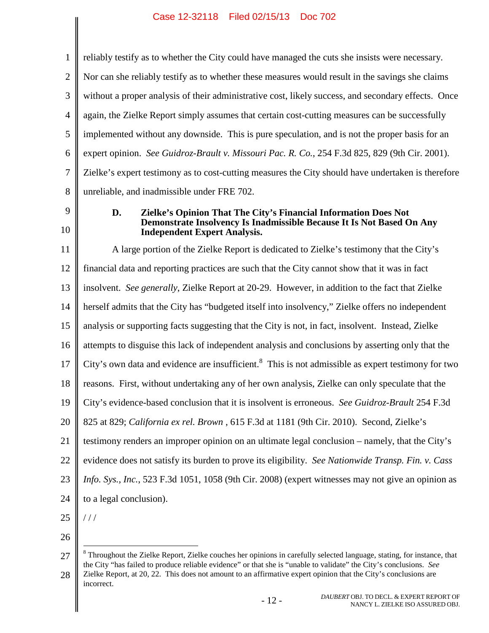<span id="page-15-1"></span>

| $\mathbf{1}$   | reliably testify as to whether the City could have managed the cuts she insists were necessary.                |  |  |  |
|----------------|----------------------------------------------------------------------------------------------------------------|--|--|--|
| $\mathbf{2}$   | Nor can she reliably testify as to whether these measures would result in the savings she claims               |  |  |  |
| 3              | without a proper analysis of their administrative cost, likely success, and secondary effects. Once            |  |  |  |
| $\overline{4}$ | again, the Zielke Report simply assumes that certain cost-cutting measures can be successfully                 |  |  |  |
| 5              | implemented without any downside. This is pure speculation, and is not the proper basis for an                 |  |  |  |
| 6              | expert opinion. See Guidroz-Brault v. Missouri Pac. R. Co., 254 F.3d 825, 829 (9th Cir. 2001).                 |  |  |  |
| 7              | Zielke's expert testimony as to cost-cutting measures the City should have undertaken is therefore             |  |  |  |
| 8              | unreliable, and inadmissible under FRE 702.                                                                    |  |  |  |
| 9              | Zielke's Opinion That The City's Financial Information Does Not<br>D.                                          |  |  |  |
| 10             | Demonstrate Insolvency Is Inadmissible Because It Is Not Based On Any<br><b>Independent Expert Analysis.</b>   |  |  |  |
| 11             | A large portion of the Zielke Report is dedicated to Zielke's testimony that the City's                        |  |  |  |
| 12             | financial data and reporting practices are such that the City cannot show that it was in fact                  |  |  |  |
| 13             | insolvent. See generally, Zielke Report at 20-29. However, in addition to the fact that Zielke                 |  |  |  |
| 14             | herself admits that the City has "budgeted itself into insolvency," Zielke offers no independent               |  |  |  |
| 15             | analysis or supporting facts suggesting that the City is not, in fact, insolvent. Instead, Zielke              |  |  |  |
| 16             | attempts to disguise this lack of independent analysis and conclusions by asserting only that the              |  |  |  |
| 17             | City's own data and evidence are insufficient. <sup>8</sup> This is not admissible as expert testimony for two |  |  |  |
| 18             | reasons. First, without undertaking any of her own analysis, Zielke can only speculate that the                |  |  |  |
| 19             | City's evidence-based conclusion that it is insolvent is erroneous. See Guidroz-Brault 254 F.3d                |  |  |  |
| 20             | 825 at 829; California ex rel. Brown, 615 F.3d at 1181 (9th Cir. 2010). Second, Zielke's                       |  |  |  |
| 21             | testimony renders an improper opinion on an ultimate legal conclusion - namely, that the City's                |  |  |  |
| 22             | evidence does not satisfy its burden to prove its eligibility. See Nationwide Transp. Fin. v. Cass             |  |  |  |
| 23             | Info. Sys., Inc., 523 F.3d 1051, 1058 (9th Cir. 2008) (expert witnesses may not give an opinion as             |  |  |  |
| 24             | to a legal conclusion).                                                                                        |  |  |  |
| 25             | //                                                                                                             |  |  |  |
| 26             |                                                                                                                |  |  |  |

<span id="page-15-3"></span><span id="page-15-2"></span><span id="page-15-0"></span><sup>27</sup> <sup>8</sup> Throughout the Zielke Report, Zielke couches her opinions in carefully selected language, stating, for instance, that the City "has failed to produce reliable evidence" or that she is "unable to validate" the City's conclusions. *See*

<sup>28</sup> Zielke Report, at 20, 22. This does not amount to an affirmative expert opinion that the City's conclusions are incorrect.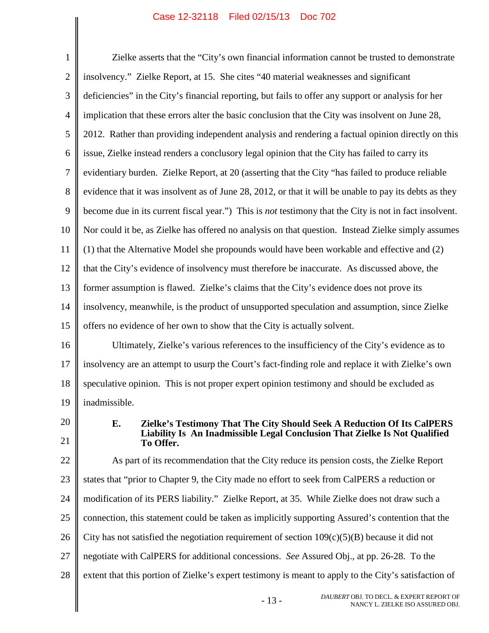<span id="page-16-0"></span>

| $\mathbf{1}$   | Zielke asserts that the "City's own financial information cannot be trusted to demonstrate                    |  |  |  |
|----------------|---------------------------------------------------------------------------------------------------------------|--|--|--|
| $\overline{2}$ | insolvency." Zielke Report, at 15. She cites "40 material weaknesses and significant                          |  |  |  |
| 3              | deficiencies" in the City's financial reporting, but fails to offer any support or analysis for her           |  |  |  |
| $\overline{4}$ | implication that these errors alter the basic conclusion that the City was insolvent on June 28,              |  |  |  |
| 5              | 2012. Rather than providing independent analysis and rendering a factual opinion directly on this             |  |  |  |
| 6              | issue, Zielke instead renders a conclusory legal opinion that the City has failed to carry its                |  |  |  |
| $\tau$         | evidentiary burden. Zielke Report, at 20 (asserting that the City "has failed to produce reliable             |  |  |  |
| 8              | evidence that it was insolvent as of June 28, 2012, or that it will be unable to pay its debts as they        |  |  |  |
| 9              | become due in its current fiscal year.") This is <i>not</i> testimony that the City is not in fact insolvent. |  |  |  |
| 10             | Nor could it be, as Zielke has offered no analysis on that question. Instead Zielke simply assumes            |  |  |  |
| 11             | (1) that the Alternative Model she propounds would have been workable and effective and (2)                   |  |  |  |
| 12             | that the City's evidence of insolvency must therefore be inaccurate. As discussed above, the                  |  |  |  |
| 13             | former assumption is flawed. Zielke's claims that the City's evidence does not prove its                      |  |  |  |
| 14             | insolvency, meanwhile, is the product of unsupported speculation and assumption, since Zielke                 |  |  |  |
| 15             | offers no evidence of her own to show that the City is actually solvent.                                      |  |  |  |
| 16             | Ultimately, Zielke's various references to the insufficiency of the City's evidence as to                     |  |  |  |
| 17             | insolvency are an attempt to usurp the Court's fact-finding role and replace it with Zielke's own             |  |  |  |
| 18             | speculative opinion. This is not proper expert opinion testimony and should be excluded as                    |  |  |  |
| 19             | inadmissible.                                                                                                 |  |  |  |
| 20             | Е.<br>Zielke's Testimony That The City Should Seek A Reduction Of Its CalPERS                                 |  |  |  |
| 21             | Liability Is An Inadmissible Legal Conclusion That Zielke Is Not Qualified<br>To Offer.                       |  |  |  |
| 22             | As part of its recommendation that the City reduce its pension costs, the Zielke Report                       |  |  |  |
| 23             | states that "prior to Chapter 9, the City made no effort to seek from CalPERS a reduction or                  |  |  |  |
| 24             | modification of its PERS liability." Zielke Report, at 35. While Zielke does not draw such a                  |  |  |  |
| 25             | connection, this statement could be taken as implicitly supporting Assured's contention that the              |  |  |  |
| 26             | City has not satisfied the negotiation requirement of section $109(c)(5)(B)$ because it did not               |  |  |  |
| 27             | negotiate with CalPERS for additional concessions. See Assured Obj., at pp. 26-28. To the                     |  |  |  |
| 28             | extent that this portion of Zielke's expert testimony is meant to apply to the City's satisfaction of         |  |  |  |
|                | DAUBERT OBJ. TO DECL. & EXPERT REPORT OF<br>$-13-$<br>NANCY L. ZIELKE ISO ASSURED OBJ.                        |  |  |  |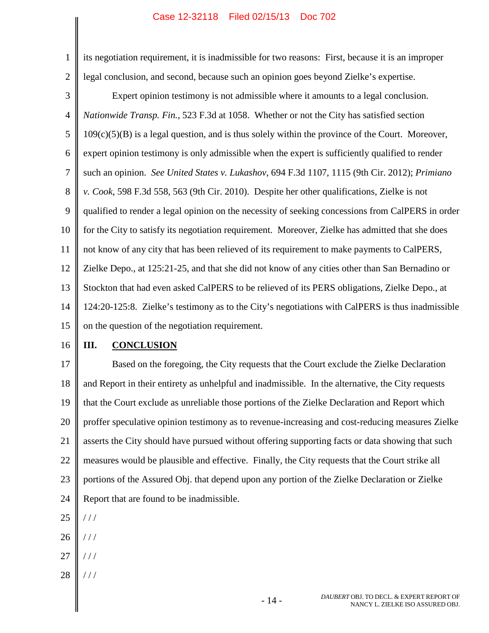<span id="page-17-3"></span><span id="page-17-1"></span>its negotiation requirement, it is inadmissible for two reasons: First, because it is an improper legal conclusion, and second, because such an opinion goes beyond Zielke's expertise.

<span id="page-17-2"></span><span id="page-17-0"></span>3 4 5 6 7 8 9 10 11 12 13 14 15 Expert opinion testimony is not admissible where it amounts to a legal conclusion. *Nationwide Transp. Fin.*, 523 F.3d at 1058. Whether or not the City has satisfied section  $109(c)(5)(B)$  is a legal question, and is thus solely within the province of the Court. Moreover, expert opinion testimony is only admissible when the expert is sufficiently qualified to render such an opinion. *See United States v. Lukashov*, 694 F.3d 1107, 1115 (9th Cir. 2012); *Primiano v. Cook*, 598 F.3d 558, 563 (9th Cir. 2010). Despite her other qualifications, Zielke is not qualified to render a legal opinion on the necessity of seeking concessions from CalPERS in order for the City to satisfy its negotiation requirement. Moreover, Zielke has admitted that she does not know of any city that has been relieved of its requirement to make payments to CalPERS, Zielke Depo., at 125:21-25, and that she did not know of any cities other than San Bernadino or Stockton that had even asked CalPERS to be relieved of its PERS obligations, Zielke Depo., at 124:20-125:8. Zielke's testimony as to the City's negotiations with CalPERS is thus inadmissible on the question of the negotiation requirement.

16

1

2

# **III. CONCLUSION**

17 18 19 20 21 22 23 24 Based on the foregoing, the City requests that the Court exclude the Zielke Declaration and Report in their entirety as unhelpful and inadmissible. In the alternative, the City requests that the Court exclude as unreliable those portions of the Zielke Declaration and Report which proffer speculative opinion testimony as to revenue-increasing and cost-reducing measures Zielke asserts the City should have pursued without offering supporting facts or data showing that such measures would be plausible and effective. Finally, the City requests that the Court strike all portions of the Assured Obj. that depend upon any portion of the Zielke Declaration or Zielke Report that are found to be inadmissible.

- 25 / / /
- 26 / / /
- 27 / / /
- 28 / / /